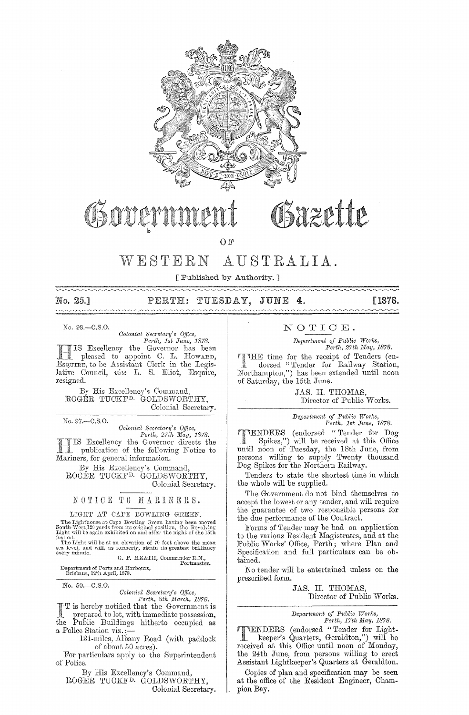

# Osovarnmen

Bazette

0 F

#### AUSTRALIA. WESTERN

[ Published by Authority. ]

No. 25.1

### PERTH: TUESDAY, JUNE 4.

**[1878.** 

No. 98.-C.S.O.

Colonial Secretary's Office, Perth, 1st June, 1878.

IS Excellency the Governor has been pleased to appoint C. L. Howarn, Esquire, to be Assistant Clerk in the Legislative Council, vice L. S. Eliot, Esquire, resigned.

By His Excellency's Command, ROGÉR TUCKF<sup>D.</sup> GOLDSWORTHY, Colonial Secretary.

No. 97 .- C.S.O.

Colonial Secretary's Office, Perth, 27th May, 1878.

IS Excellency the Governor directs the publication of the following Notice to Mariners, for general information.

By His Excellency's Command, ROGÉR TUCKF<sup>D.</sup> GOLDSWORTHY, Colonial Secretary.

### NOTICE TO MARINERS.

LIGHT AT CAPE BOWLING GREEN.

**EXECUTE:** LOTEL DUWLING GREEN.<br>The Lighthouse at Cape Bowling Green having been moved<br>South-West, 120 yards from its original position, the Revolving<br>Light will be again exhibited on and after the night of the 15th<br>insta

G. P. HEATH, Commander R.N., Portmaster.

Department of Ports and Harbours, Brisbane, 12th April, 1878.

No. 50.-C.S.O.

Colonial Secretary's Office,<br>  $Perth$ , Sth March, 1878.<br>  $\overline{F}$  T is hereby notified that the Government is prepared to let, with immediate possession,<br>Public Buildings hitherto occupied as  $the$ a Police Station viz.:-

131-miles, Albany Road (with paddock of about 50 acres).

For particulars apply to the Superintendent of Police.

By His Excellency's Command, ROGER TUCKF<sup>D.</sup> GOLDSWORTHY, Colonial Secretary.

### NOTICE.

Department of Public Works, Perth, 27th May, 1878.

THE time for the receipt of Tenders (en-<br>dorsed "Tender for Poil-Northampton,") has been extended until noon of Saturday, the 15th June.

> JAS. H. THOMAS, Director of Public Works.

> Department of Public Works,<br>Perth, 1st June, 1878.

VENDERS (endorsed "Tender for Dog Spikes,") will be received at this Office **R** until noon of Tuesday, the 18th June, from persons willing to supply Twenty thousand Dog Spikes for the Northern Railway.

Tenders to state the shortest time in which the whole will be supplied.

The Government do not bind themselves to accept the lowest or any tender, and will require the guarantee of two responsible persons for<br>the due performance of the Contract.

Forms of Tender may be had on application to the various Resident Magistrates, and at the Public Works' Office, Perth; where Plan and Specification and full particulars can be obtained.

No tender will be entertained unless on the prescribed form.

> JAS. H. THOMAS, Director of Public Works.

Department of Public Works,<br>Perth, 17th May, 1878.

THENDERS (endorsed "Tender for Light-<br>
keeper's Quarters, Geraldton,") will be<br>
received at this Office until noon of Monday,<br>
the 24th June, from persons willing to erect<br>
Assistant Lightheonov's Quarters at Graphiter Assistant Lightkeeper's Quarters at Geraldton.

Copies of plan and specification may be seen at the office of the Resident Engineer, Champion Bay.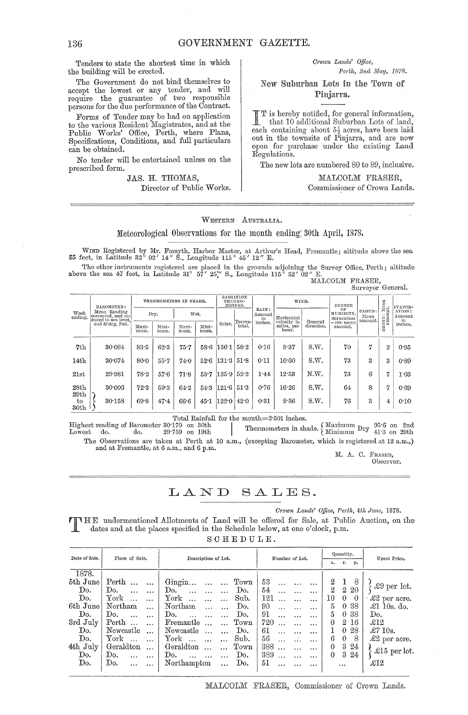Tenders to state the shortest time in which the building will be erected.

The Government do not bind themselves to accept the lowest or any tender, and will require the guarantee of two responsible persons for the due performance of the Contract.

Forms of Tender may be had on application to the various Resident Magistrates, and at the Public Works' Office, Perth, where Plans, Specifications, Conditions, and full particulars can be obtained.

No tender will be entertained unless on the prescribed form.

### JAS. H. THOMAS, Director of Public Works.

### $Crown$  Lands' Office, *Perth, 2nd May, 1878.*

New Suburban Lots in the Pinjarra.

I is hereby notified, for general information, that 10 additional Suburban Lots of land, each containing about  $5\frac{1}{3}$  acres, have been laid out in the townsite of Pinjarra, and are now open for purchase under the existing Land Regulations.

The new lots are numbered 80 to 89, inclusive.

:MALCOLM FRASER, Commissioner of Crown Lands.

WESTERN AUSTRALIA.

### Meteorological Observations for the month ending: 30th April, 1878.

WIND Registered by Mr. Forsyth, Harbor Master, at Arthur's Head, Fremantle; altitude above the sea 55 feet, in Latitude 32° 02' 14" S., Longitude 115° 45' 12" E.

The other instruments registered are placed in the grounds adjoining the Survey Office, Perth; altitude above the sea 47 feet, in Latitude 31° 57'  $25''$  S., Longitude 115° 52' 02" E. MALCOLM FRASER,

Surveyor General.

| Week<br>ending.          | BAROMETER:<br>Mean Reading<br>corrected, and re-<br>duced to sea level.<br>and 32 deg. Fah. | THERMOMETERS IN SHADE. |               |               | RADIATION<br>THERMO-<br>METERS. |            |                   |                          | WIND.                              |                       |                               | ${\rm Mean}_{\rm in}$     | EVAPOR-       |                        |
|--------------------------|---------------------------------------------------------------------------------------------|------------------------|---------------|---------------|---------------------------------|------------|-------------------|--------------------------|------------------------------------|-----------------------|-------------------------------|---------------------------|---------------|------------------------|
|                          |                                                                                             | Dry.                   |               | Wet.          |                                 |            |                   | RAIN:<br>$A$ mount<br>in | Horizontal                         |                       | OF<br>HUMIDITY.<br>Saturation | CLOUD:<br>Mean<br>amount. | $\frac{1}{2}$ | ATION:<br>Amount<br>in |
|                          |                                                                                             | Maxi-<br>mum.          | Mini-<br>mum. | Maxi-<br>mum. | Mini-<br>mum.                   | Solar.     | Terres-<br>trial. | inches.                  | velocity in<br>miles, per<br>hour. | General<br>direction. | $= 100$ : mean<br>amount.     |                           | N<br>ó        | inches.                |
| 7th                      | 30.064                                                                                      | 83.5                   | 62.3          | 75.7          | 58.6                            | 136.1      | 58.2              | 0.16                     | 8.37                               | S.W.                  | 70                            | ŀ٦                        | $\mathbf{2}$  | 0.95                   |
| 14th                     | 30.074                                                                                      | 80.0                   | $55 - 7$      | 74.0          | 52.6                            | 131.3      | 51.8              | 0:11                     | 10.60                              | S.W.                  | 73                            | 3                         | 3             | 0.89                   |
| 21st                     | 29.981                                                                                      | 78.2                   | 576           | 71.8          | 53.7                            | 125.9      | 52.2              | 1.44                     | 12.53                              | N.W.                  | 73                            | в                         | 17            | 1.03                   |
| 28 <sub>th</sub><br>29th | 30:006                                                                                      | 72.3                   | 59.3          | 64.2          |                                 | 54.3.121.6 | 51.3              | 0.76                     | 16.26                              | S.W.                  | 64                            | 8                         | דו            | 0.69                   |
| to<br>30th               | 30.158                                                                                      | 69.8                   | 474           | 66.6          | 45.1                            | 122.0      | 42.0              | 0.31                     | 9.56                               | S.W.                  | 76                            | 3                         | 4             | 0:10                   |

Total Rainfall for the month=2'50l inches.

 $\begin{tabular}{lcccccc} Highest reading of Barometer & 30:170 & on & 30th \\ \hline I_{\alpha\text{weak}} & do. & 29:759 & on & 19th \\ \end{tabular}$ Thermometers in shade.  $\left\{\n \begin{array}{ll}\n \text{Maximum Dry} & 95.6 \text{ on } 2 \text{nd} \\
 41.3 \text{ on } 29 \text{th}\n \end{array}\n \right\}$ The Observations are taken at Perth at 10 a.m., (excepting Barometer, which is registered at 12 a.m.,)

and at Fremantle, at 6 a.m., and 6 p.m.

M. A. C. FRAsER, Observer.

## LAND SALES.

*Crown Lands' Office, Perth, 4th June, 1878.* 

**THE** undermentioned Allotments of Land will be offered for Sale, at Public Auction, on the dates and at the places specified in the Schedule below, at one o'clock, p.m.

| SCHEDULE. |  |
|-----------|--|
|-----------|--|

| Date of Sale. | Place of Sale.                  | Description of Lot.                      | Number of Lot.  | Quantity.            | Unset Price.         |  |
|---------------|---------------------------------|------------------------------------------|-----------------|----------------------|----------------------|--|
|               |                                 |                                          |                 | г.<br>р.<br>a.       |                      |  |
| 1878.         |                                 |                                          |                 |                      |                      |  |
| 5th June      | Perth<br>$\ddotsc$<br>$\ddotsc$ | Gingin<br>Town<br>$\ddotsc$<br>$\ddotsc$ | 53<br>$\cdots$  | $^{2}$<br>8          |                      |  |
| Do.           | Do.                             | Do.<br>Do.                               | 54<br>$\cdots$  | 2 20<br>2            | $\pounds9$ per lot.  |  |
| Do.           | York<br>$\ddotsc$               | ${\rm York}$<br>Sub.                     | 121<br>$\cdots$ | 10<br>$\theta$<br>0  | $\pounds2$ per acre. |  |
| 6th June      | Northam<br>$\cdots$             | Northam<br>Do.<br>$\ddotsc$              | 90<br>.         | 5<br>0 38            | $\pounds1$ 10s. do.  |  |
| Do.           | Do.                             | Do.<br>Do.                               | 91<br>$\cdots$  | 5<br>-38<br>$\theta$ | Do.                  |  |
| 3rd July      | Perth<br>$\cdots$               | Fremantle<br>Town                        | 720<br>.        | 2 16<br>0            | $\pounds12$          |  |
| Do.           | Newcastle                       | Newcastle<br>Do.                         | 61<br>$\cdots$  | 28<br>$\theta$<br>1  | £710s.               |  |
| Do.           | ${\rm York}$                    | ${\rm York}$<br>Sub.<br>$\cdots$         | 56<br>$\cdots$  | 8<br>0<br>6          | $\pounds2$ per acre. |  |
| 4th July      | Geraldton<br>$\cdots$           | Geraldton<br>Town<br>$\ddotsc$           | 388<br>$\cdots$ | 3<br>24<br>$\theta$  | £15 per lot.         |  |
| Do.           | Do.<br>$\ddotsc$                | Do.<br>Do.<br>$\cdots$<br>$\cdots$       | 389<br>$\cdots$ | 3<br>24<br>0         |                      |  |
| Do.           | Do.<br>$\cdots$<br>$\cdots$     | Northampton<br>Do.<br>$\cdots$           | 51<br>$\cdots$  |                      | $\pounds12$          |  |
|               |                                 |                                          |                 |                      |                      |  |

MALCOLM FRASER, Commissioner of Crown Lands.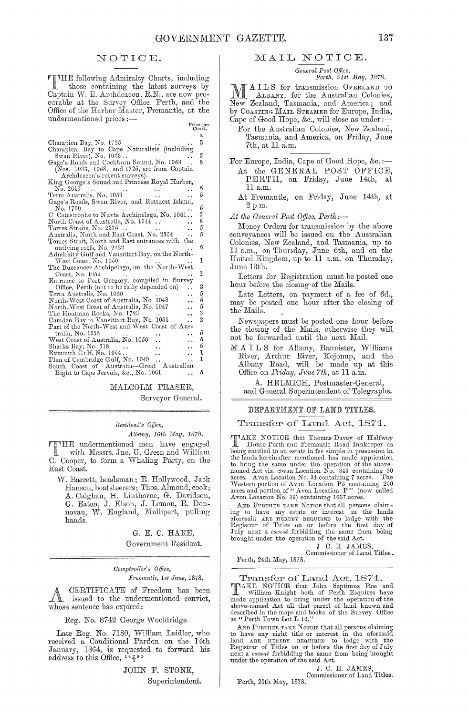Price per<br>Chart.

### NOTICE.

THE following Admiralty Charts, including<br>those containing the latest surveys by<br>Captain W. E. Archdeacon, R.N., are now procurable at the Survey Office, Perth, and the Office of the Harbor Master, Fremantle, at the undermentioned prices :-

|                                                                 | s.             |
|-----------------------------------------------------------------|----------------|
| Champion Bay, No. 1725                                          | 3              |
| Champion Bay to Cape Naturaliste (including                     |                |
| Swan River), No. 1033                                           | 5              |
| Gage's Roads and Cockburn Sound, No. 1058                       | 5              |
| (Nos. 1033, 1058, and 1725, are from Captain                    |                |
| Archdeacon's recent surveys).                                   |                |
| King George's Sound and Princess Royal Harbor,                  |                |
| No. 2619                                                        | 5              |
| Ferra Australis, No. 1059                                       | 5              |
| Gage's Roads, Swan River, and Rottnest Island,                  |                |
|                                                                 | 5              |
| No. 1700                                                        | 5              |
| C Catastrophe to Nuyts Archipelago, No. 1061                    |                |
| North Coast of Australia, No. 1044 <sup>.</sup>                 | 5              |
| Torres Straits, No. 2375                                        | 5              |
| Australia, North and East Coast, No. 2354                       | 5              |
| Torres Strait, North and East entrances with the                |                |
| outlying reefs, No. 2422                                        | 5              |
| Admiralty Gulf and Vansittart Bay, on the North-                |                |
| West Coast, No. 1050                                            | 1              |
| The Buccaneer Archipelago, on the North-West                    |                |
| Coast, No. 1052                                                 | 2              |
| Entrance to Port Gregory, compiled in Survey                    |                |
| Office, Perth (not to be fully depended on)                     | 3              |
| Terra Australis, No. 1060                                       | 5              |
| North-West Coast of Australia, No. 1048<br>$\ddot{\phantom{a}}$ | 5              |
| North-West Coast of Australia, No. 1047                         | 5              |
| The Houtman Rocks, No. 1723<br>$\ddot{\phantom{0}}$             | 3              |
| Camden Bay to Vansittart Bay, No. 1051<br>$\ddot{\phantom{0}}$  | $\overline{2}$ |
| Part of the North-West and West-Coast of Aus-                   |                |
| tralia, No. 1055                                                | 5              |
| West Coast of Australia, No. 1056<br>. .                        | 5              |
| Sharks Bay, No. 518<br>. .                                      | 5              |
| Exmouth Gulf, No. 1054<br>. .                                   | 1              |
| Plan of Cambridge Gulf, No. 1049<br>$\ddot{\phantom{0}}$        | 1              |
| South Coast of Australia—Great Australian                       |                |
| Bight to Cape Jervois, &c., No. 1061                            | 5              |
|                                                                 |                |
|                                                                 |                |

MALCOLM FRASER,

Surveyor General.

### Resident's Office,

#### Albany, 16th May, 1878.

TTHE undermentioned men have engaged<br>with Messrs. Jno. U. Green and William C. Cooper, to form a Whaling Party, on the East Coast.

W. Barrett, headsman; R. Hollywood, Jack Hanson, boatsteerers; Thos. Almond, cook; A. Calghan, H. Linthorne, G. Davidson, G. Eaton, J. Elson, J. Lemon, R. Donnovan, W. England, Mullipert, pulling hands.

> G. E. C. HARE, Government Resident.

### Comptroller's Office, Fremantle, 1st June, 1878.

CERTIFICATE of Freedom has been issued to the undermentioned convict, whose sentence has expired:-

### Reg. No. 8742 George Wooldridge

Late Reg. No. 7180, William Laidler, who<br>received a Conditional Pardon on the 14th<br>January, 1864, is requested to forward his address to this Office,  $14.290$ 

> JOHN F. STONE, Superintendent.

### MAIL NOTICE.

General Post Office,<br>Perth, 21st May, 1878.

AILS for transmission OVERLAND TO Number of the Australian Colonies, New Zealand, Tasmania, and America; and by COASTING MAIL STEAMER for Europe, India, Cape of Good Hope, &c., will close as under :-

- For the Australian Colonies, New Zealand, Tasmania, and America, on Friday, June 7th, at 11 a.m.
- For Europe, India, Cape of Good Hope, &c. :-At the GENERAL POST OFFICE, PERTH, on Friday, June 14th, at 11 a.m.
	- At Fremantle, on Friday, June 14th, at 2 p.m.

At the General Post Office, Perth:-

Money Orders for transmission by the above conveyances will be issued on the Australian<br>Colonies, New Zealand, and Tasmania, up to<br>11 a.m., on Thursday, June 6th, and on the<br>United Kingdom, up to 11 a.m. on Thursday, June 13th.

Letters for Registration must be posted one hour before the closing of the Mails.

Late Letters, on payment of a fee of 6d., may be posted one hour after the closing of the Mails.

Newspapers must be posted one hour before the closing of the Mails, otherwise they will not be forwarded until the next Mail.

MAILS for Albany, Bannister, Williams<br>River, Arthur River, Kojonup, and the<br>Albany Road, will be made up at this Office on Friday, June 7th, at 11 a.m.

A. HELMICH, Postmaster-General, and General Superintendent of Telegraphs.

### DEPARTMENT OF LAND TITLES.

### Transfer of Land Act, 1874.

**TIAKE NOTICE** that Thomas Davey of Halfway<br>House Perth and Fremantle Road Innkeeper as<br>being entitled to an estate in fee simple in possession in<br>the lands hereinafter mentioned has made application the lands necessare mentioned has made application<br>to bring the same under the operation of the above-<br>named Act viz. Swan Location No. 349 containing 20<br>acres. Avon Location No. 34 containing 7 acres. The<br>Western portion

AND FURTHER TAKE NOTICE that all persons claim-The barrel of the any estate or interest in the lands<br>aforesaid ARB HEREBY REQUIRED to lodge with the<br>Registrar of Titles on or before the first day of<br>July next a *caveat* forbidding the same from being<br>brought under the

J. C. H. JAMES

Commissioner of Land Titles. Perth, 24th May, 1878.

Transfer of Land Act, 1874.

TAKE NOTICE that John Septimus Ree and<br>William Knight both of Perth Esquires have<br>made application to bring under the operation of the<br>above-named Act all that parcel of land known and described in the maps and books of the Survey Office<br>as "Perth Town Lot L 10."

AND FURTHER TAKE NOTICE that all persons claiming TO have any right title or interest in the aforesaid<br>land ARE HEREBY REQUIRED to lodge with the<br>Registrar of Titles on or before the first day of July<br>next a *caveat* forbidding the same from being brought under the operation of the said Act.

J. C. H. JAMES, Commissioner of Land Titles.

Perth, 20th May, 1878.